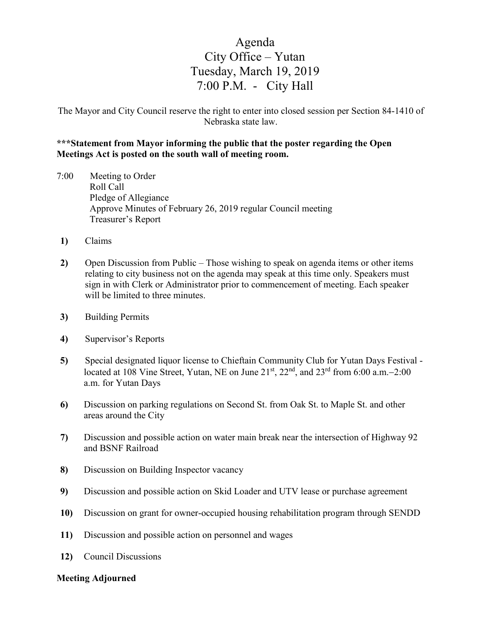## Agenda City Office – Yutan Tuesday, March 19, 2019 7:00 P.M. - City Hall

The Mayor and City Council reserve the right to enter into closed session per Section 84-1410 of Nebraska state law.

## **\*\*\*Statement from Mayor informing the public that the poster regarding the Open Meetings Act is posted on the south wall of meeting room.**

- 7:00 Meeting to Order Roll Call Pledge of Allegiance Approve Minutes of February 26, 2019 regular Council meeting Treasurer's Report
- **1)** Claims
- **2)** Open Discussion from Public Those wishing to speak on agenda items or other items relating to city business not on the agenda may speak at this time only. Speakers must sign in with Clerk or Administrator prior to commencement of meeting. Each speaker will be limited to three minutes.
- **3)** Building Permits
- **4)** Supervisor's Reports
- **5)** Special designated liquor license to Chieftain Community Club for Yutan Days Festival located at 108 Vine Street, Yutan, NE on June 21st, 22nd, and 23rd from 6:00 a.m.−2:00 a.m. for Yutan Days
- **6)** Discussion on parking regulations on Second St. from Oak St. to Maple St. and other areas around the City
- **7)** Discussion and possible action on water main break near the intersection of Highway 92 and BSNF Railroad
- **8)** Discussion on Building Inspector vacancy
- **9)** Discussion and possible action on Skid Loader and UTV lease or purchase agreement
- **10)** Discussion on grant for owner-occupied housing rehabilitation program through SENDD
- **11)** Discussion and possible action on personnel and wages
- **12)** Council Discussions

## **Meeting Adjourned**